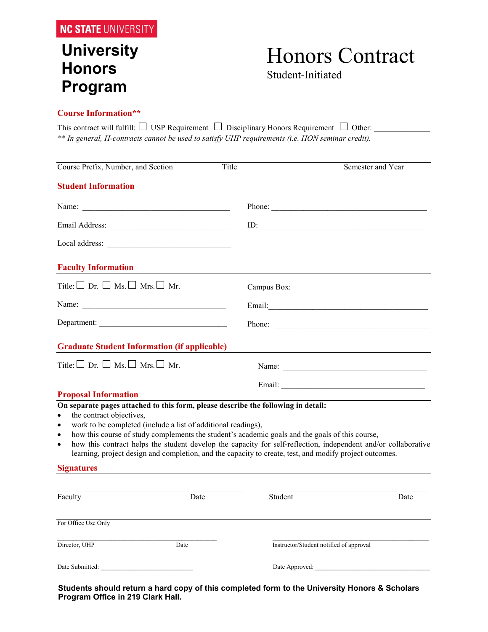### **University Honors Program**

## Honors Contract

Student-Initiated

#### **Course Information\*\***

| This contract will fulfill: $\Box$ USP Requirement $\Box$ Disciplinary Honors Requirement $\Box$ Other: |  |
|---------------------------------------------------------------------------------------------------------|--|
| ** In general, H-contracts cannot be used to satisfy UHP requirements (i.e. HON seminar credit).        |  |

| Course Prefix, Number, and Section                                                                                                                                                                                                                                                                                                                                                                                                                                                                                                                                 | Title                                         | Semester and Year                       |  |
|--------------------------------------------------------------------------------------------------------------------------------------------------------------------------------------------------------------------------------------------------------------------------------------------------------------------------------------------------------------------------------------------------------------------------------------------------------------------------------------------------------------------------------------------------------------------|-----------------------------------------------|-----------------------------------------|--|
| <b>Student Information</b>                                                                                                                                                                                                                                                                                                                                                                                                                                                                                                                                         |                                               |                                         |  |
|                                                                                                                                                                                                                                                                                                                                                                                                                                                                                                                                                                    |                                               | Phone:                                  |  |
|                                                                                                                                                                                                                                                                                                                                                                                                                                                                                                                                                                    |                                               |                                         |  |
|                                                                                                                                                                                                                                                                                                                                                                                                                                                                                                                                                                    |                                               |                                         |  |
| <b>Faculty Information</b>                                                                                                                                                                                                                                                                                                                                                                                                                                                                                                                                         | <u> 1989 - Andrea Andrew Maria (h. 1989).</u> |                                         |  |
| Title: $\square$ Dr. $\square$ Ms. $\square$ Mrs. $\square$ Mr.                                                                                                                                                                                                                                                                                                                                                                                                                                                                                                    |                                               |                                         |  |
|                                                                                                                                                                                                                                                                                                                                                                                                                                                                                                                                                                    |                                               |                                         |  |
| Department:                                                                                                                                                                                                                                                                                                                                                                                                                                                                                                                                                        |                                               | Phone:                                  |  |
| <b>Graduate Student Information (if applicable)</b>                                                                                                                                                                                                                                                                                                                                                                                                                                                                                                                |                                               |                                         |  |
| Title: $\square$ Dr. $\square$ Ms. $\square$ Mrs. $\square$ Mr.                                                                                                                                                                                                                                                                                                                                                                                                                                                                                                    |                                               |                                         |  |
|                                                                                                                                                                                                                                                                                                                                                                                                                                                                                                                                                                    |                                               |                                         |  |
| <b>Proposal Information</b>                                                                                                                                                                                                                                                                                                                                                                                                                                                                                                                                        |                                               |                                         |  |
| On separate pages attached to this form, please describe the following in detail:<br>the contract objectives,<br>$\bullet$<br>work to be completed (include a list of additional readings),<br>$\bullet$<br>how this course of study complements the student's academic goals and the goals of this course,<br>$\bullet$<br>how this contract helps the student develop the capacity for self-reflection, independent and/or collaborative<br>$\bullet$<br>learning, project design and completion, and the capacity to create, test, and modify project outcomes. |                                               |                                         |  |
| <b>Signatures</b>                                                                                                                                                                                                                                                                                                                                                                                                                                                                                                                                                  |                                               |                                         |  |
| Faculty<br>Date                                                                                                                                                                                                                                                                                                                                                                                                                                                                                                                                                    | Student                                       | Date                                    |  |
| For Office Use Only                                                                                                                                                                                                                                                                                                                                                                                                                                                                                                                                                |                                               |                                         |  |
| Director, UHP<br>Date                                                                                                                                                                                                                                                                                                                                                                                                                                                                                                                                              |                                               | Instructor/Student notified of approval |  |

**Students should return a hard copy of this completed form to the University Honors & Scholars Program Office in 219 Clark Hall.**

Date Submitted: \_\_\_\_\_\_\_\_\_\_\_\_\_\_\_\_\_\_\_\_\_\_\_\_\_\_\_\_\_ Date Approved: \_\_\_\_\_\_\_\_\_\_\_\_\_\_\_\_\_\_\_\_\_\_\_\_\_\_\_\_\_\_\_\_\_\_\_\_